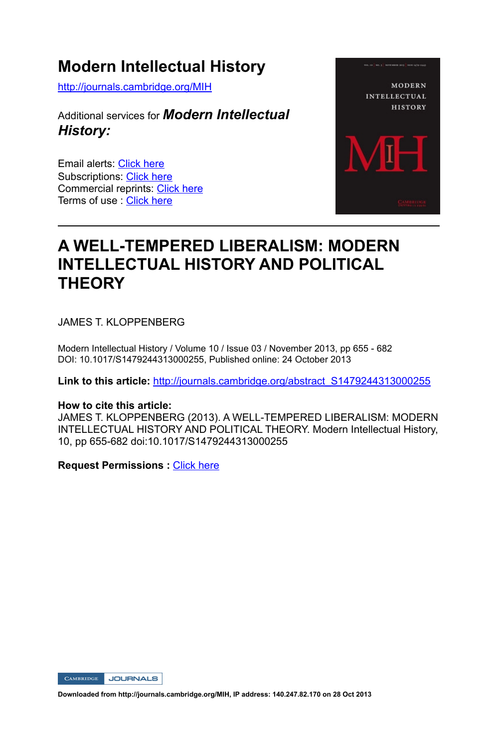# **Modern Intellectual History**

http://journals.cambridge.org/MIH

Additional services for *Modern Intellectual History:*

Email alerts: Click here Subscriptions: Click here Commercial reprints: Click here Terms of use : Click here



## **A WELL-TEMPERED LIBERALISM: MODERN INTELLECTUAL HISTORY AND POLITICAL THEORY**

JAMES T. KLOPPENBERG

Modern Intellectual History / Volume 10 / Issue 03 / November 2013, pp 655 - 682 DOI: 10.1017/S1479244313000255, Published online: 24 October 2013

**Link to this article:** http://journals.cambridge.org/abstract\_S1479244313000255

### **How to cite this article:**

JAMES T. KLOPPENBERG (2013). A WELL-TEMPERED LIBERALISM: MODERN INTELLECTUAL HISTORY AND POLITICAL THEORY. Modern Intellectual History, 10, pp 655-682 doi:10.1017/S1479244313000255

**Request Permissions :** Click here

CAMBRIDGE JOURNALS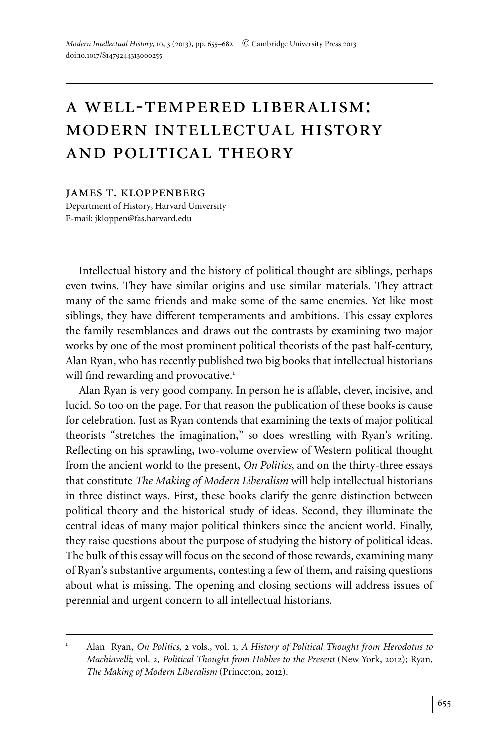# a well-tempered liberalism: modern intellectual history and political theory

james t. kloppenberg Department of History, Harvard University E-mail: jkloppen@fas.harvard.edu

Intellectual history and the history of political thought are siblings, perhaps even twins. They have similar origins and use similar materials. They attract many of the same friends and make some of the same enemies. Yet like most siblings, they have different temperaments and ambitions. This essay explores the family resemblances and draws out the contrasts by examining two major works by one of the most prominent political theorists of the past half-century, Alan Ryan, who has recently published two big books that intellectual historians will find rewarding and provocative.<sup>1</sup>

Alan Ryan is very good company. In person he is affable, clever, incisive, and lucid. So too on the page. For that reason the publication of these books is cause for celebration. Just as Ryan contends that examining the texts of major political theorists "stretches the imagination," so does wrestling with Ryan's writing. Reflecting on his sprawling, two-volume overview of Western political thought from the ancient world to the present, *On Politics*, and on the thirty-three essays that constitute *The Making of Modern Liberalism* will help intellectual historians in three distinct ways. First, these books clarify the genre distinction between political theory and the historical study of ideas. Second, they illuminate the central ideas of many major political thinkers since the ancient world. Finally, they raise questions about the purpose of studying the history of political ideas. The bulk of this essay will focus on the second of those rewards, examining many of Ryan's substantive arguments, contesting a few of them, and raising questions about what is missing. The opening and closing sections will address issues of perennial and urgent concern to all intellectual historians.

<sup>1</sup> Alan Ryan, *On Politics*, 2 vols., vol. 1, *A History of Political Thought from Herodotus to Machiavelli*; vol. 2, *Political Thought from Hobbes to the Present* (New York, 2012); Ryan, *The Making of Modern Liberalism* (Princeton, 2012).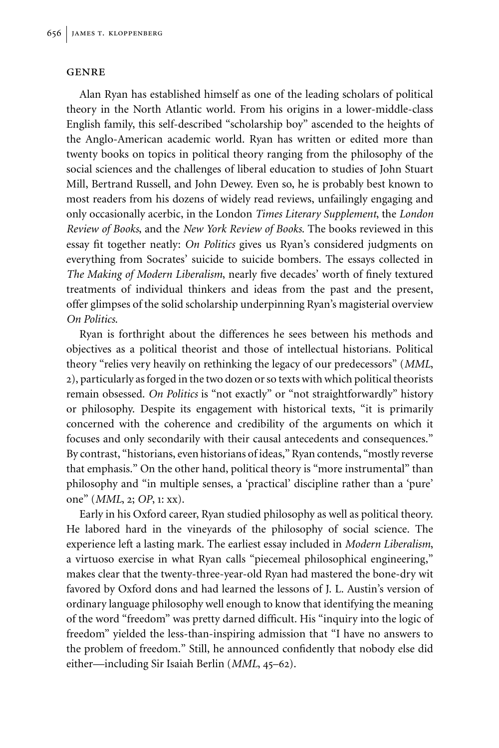#### genre

Alan Ryan has established himself as one of the leading scholars of political theory in the North Atlantic world. From his origins in a lower-middle-class English family, this self-described "scholarship boy" ascended to the heights of the Anglo-American academic world. Ryan has written or edited more than twenty books on topics in political theory ranging from the philosophy of the social sciences and the challenges of liberal education to studies of John Stuart Mill, Bertrand Russell, and John Dewey. Even so, he is probably best known to most readers from his dozens of widely read reviews, unfailingly engaging and only occasionally acerbic, in the London *Times Literary Supplement*, the *London Review of Books*, and the *New York Review of Books*. The books reviewed in this essay fit together neatly: *On Politics* gives us Ryan's considered judgments on everything from Socrates' suicide to suicide bombers. The essays collected in *The Making of Modern Liberalism*, nearly five decades' worth of finely textured treatments of individual thinkers and ideas from the past and the present, offer glimpses of the solid scholarship underpinning Ryan's magisterial overview *On Politics*.

Ryan is forthright about the differences he sees between his methods and objectives as a political theorist and those of intellectual historians. Political theory "relies very heavily on rethinking the legacy of our predecessors" (*MML*, 2), particularly as forged in the two dozen or so texts with which political theorists remain obsessed. *On Politics* is "not exactly" or "not straightforwardly" history or philosophy. Despite its engagement with historical texts, "it is primarily concerned with the coherence and credibility of the arguments on which it focuses and only secondarily with their causal antecedents and consequences." By contrast, "historians, even historians of ideas," Ryan contends, "mostly reverse that emphasis." On the other hand, political theory is "more instrumental" than philosophy and "in multiple senses, a 'practical' discipline rather than a 'pure' one" (*MML*, 2; *OP*, 1: xx).

Early in his Oxford career, Ryan studied philosophy as well as political theory. He labored hard in the vineyards of the philosophy of social science. The experience left a lasting mark. The earliest essay included in *Modern Liberalism*, a virtuoso exercise in what Ryan calls "piecemeal philosophical engineering," makes clear that the twenty-three-year-old Ryan had mastered the bone-dry wit favored by Oxford dons and had learned the lessons of J. L. Austin's version of ordinary language philosophy well enough to know that identifying the meaning of the word "freedom" was pretty darned difficult. His "inquiry into the logic of freedom" yielded the less-than-inspiring admission that "I have no answers to the problem of freedom." Still, he announced confidently that nobody else did either—including Sir Isaiah Berlin (*MML*, 45–62).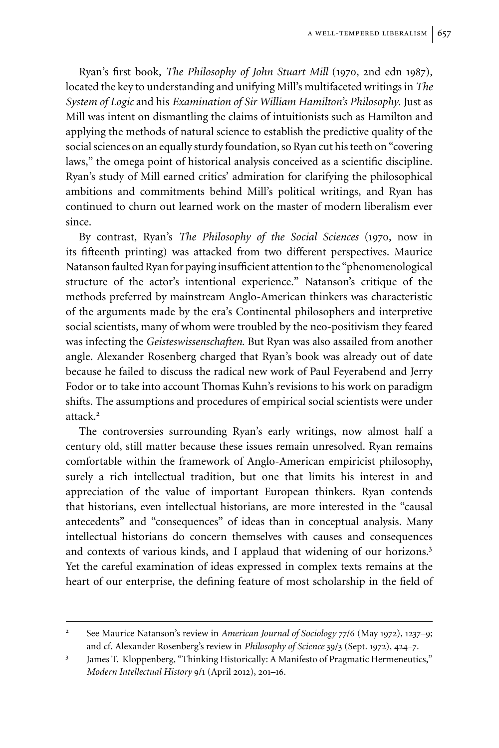Ryan's first book, *The Philosophy of John Stuart Mill* (1970, 2nd edn 1987), located the key to understanding and unifying Mill's multifaceted writings in *The System of Logic* and his *Examination of Sir William Hamilton's Philosophy*. Just as Mill was intent on dismantling the claims of intuitionists such as Hamilton and applying the methods of natural science to establish the predictive quality of the social sciences on an equally sturdy foundation, so Ryan cut his teeth on "covering laws," the omega point of historical analysis conceived as a scientific discipline. Ryan's study of Mill earned critics' admiration for clarifying the philosophical ambitions and commitments behind Mill's political writings, and Ryan has continued to churn out learned work on the master of modern liberalism ever since.

By contrast, Ryan's *The Philosophy of the Social Sciences* (1970, now in its fifteenth printing) was attacked from two different perspectives. Maurice Natanson faulted Ryan for paying insufficient attention to the "phenomenological structure of the actor's intentional experience." Natanson's critique of the methods preferred by mainstream Anglo-American thinkers was characteristic of the arguments made by the era's Continental philosophers and interpretive social scientists, many of whom were troubled by the neo-positivism they feared was infecting the *Geisteswissenschaften*. But Ryan was also assailed from another angle. Alexander Rosenberg charged that Ryan's book was already out of date because he failed to discuss the radical new work of Paul Feyerabend and Jerry Fodor or to take into account Thomas Kuhn's revisions to his work on paradigm shifts. The assumptions and procedures of empirical social scientists were under attack.<sup>2</sup>

The controversies surrounding Ryan's early writings, now almost half a century old, still matter because these issues remain unresolved. Ryan remains comfortable within the framework of Anglo-American empiricist philosophy, surely a rich intellectual tradition, but one that limits his interest in and appreciation of the value of important European thinkers. Ryan contends that historians, even intellectual historians, are more interested in the "causal antecedents" and "consequences" of ideas than in conceptual analysis. Many intellectual historians do concern themselves with causes and consequences and contexts of various kinds, and I applaud that widening of our horizons.<sup>3</sup> Yet the careful examination of ideas expressed in complex texts remains at the heart of our enterprise, the defining feature of most scholarship in the field of

<sup>&</sup>lt;sup>2</sup> See Maurice Natanson's review in *American Journal of Sociology* 77/6 (May 1972), 1237-9; and cf. Alexander Rosenberg's review in *Philosophy of Science* 39/3 (Sept. 1972), 424–7.

<sup>&</sup>lt;sup>3</sup> James T. Kloppenberg, "Thinking Historically: A Manifesto of Pragmatic Hermeneutics," *Modern Intellectual History* 9/1 (April 2012), 201–16.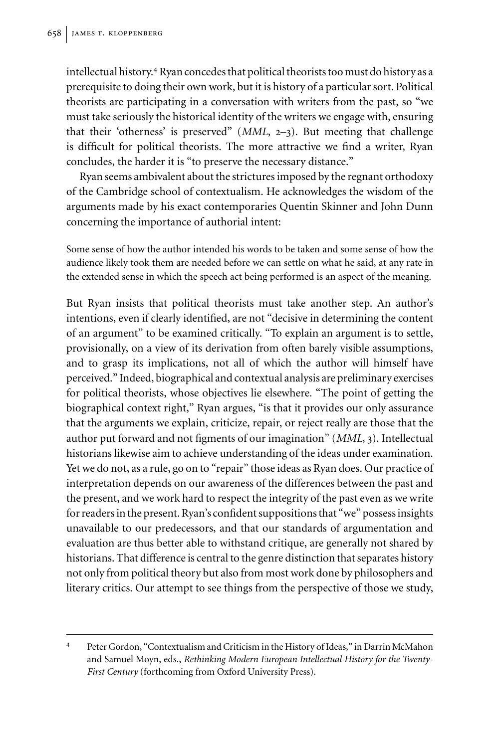intellectual history.<sup>4</sup> Ryan concedes that political theorists too must do history as a prerequisite to doing their own work, but it is history of a particular sort. Political theorists are participating in a conversation with writers from the past, so "we must take seriously the historical identity of the writers we engage with, ensuring that their 'otherness' is preserved" (*MML*, 2–3). But meeting that challenge is difficult for political theorists. The more attractive we find a writer, Ryan concludes, the harder it is "to preserve the necessary distance."

Ryan seems ambivalent about the strictures imposed by the regnant orthodoxy of the Cambridge school of contextualism. He acknowledges the wisdom of the arguments made by his exact contemporaries Quentin Skinner and John Dunn concerning the importance of authorial intent:

Some sense of how the author intended his words to be taken and some sense of how the audience likely took them are needed before we can settle on what he said, at any rate in the extended sense in which the speech act being performed is an aspect of the meaning.

But Ryan insists that political theorists must take another step. An author's intentions, even if clearly identified, are not "decisive in determining the content of an argument" to be examined critically. "To explain an argument is to settle, provisionally, on a view of its derivation from often barely visible assumptions, and to grasp its implications, not all of which the author will himself have perceived." Indeed, biographical and contextual analysis are preliminary exercises for political theorists, whose objectives lie elsewhere. "The point of getting the biographical context right," Ryan argues, "is that it provides our only assurance that the arguments we explain, criticize, repair, or reject really are those that the author put forward and not figments of our imagination" (*MML*, 3). Intellectual historians likewise aim to achieve understanding of the ideas under examination. Yet we do not, as a rule, go on to "repair" those ideas as Ryan does. Our practice of interpretation depends on our awareness of the differences between the past and the present, and we work hard to respect the integrity of the past even as we write for readers in the present. Ryan's confident suppositions that "we" possess insights unavailable to our predecessors, and that our standards of argumentation and evaluation are thus better able to withstand critique, are generally not shared by historians. That difference is central to the genre distinction that separates history not only from political theory but also from most work done by philosophers and literary critics. Our attempt to see things from the perspective of those we study,

<sup>4</sup> Peter Gordon, "Contextualism and Criticism in the History of Ideas," in Darrin McMahon and Samuel Moyn, eds., *Rethinking Modern European Intellectual History for the Twenty-First Century* (forthcoming from Oxford University Press).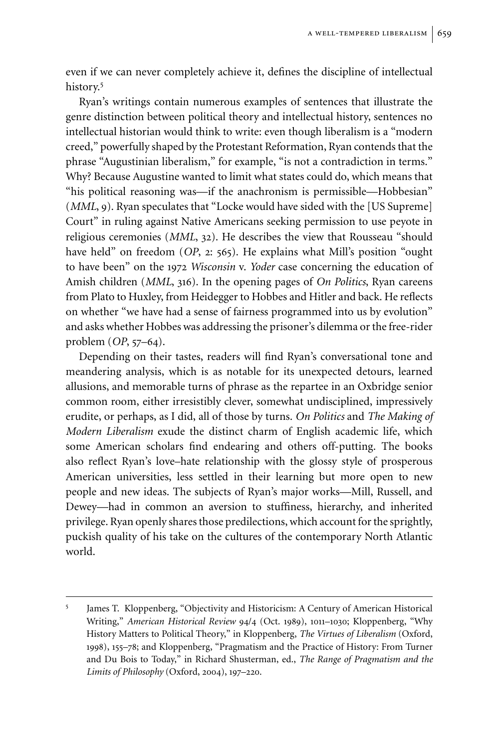even if we can never completely achieve it, defines the discipline of intellectual history.<sup>5</sup>

Ryan's writings contain numerous examples of sentences that illustrate the genre distinction between political theory and intellectual history, sentences no intellectual historian would think to write: even though liberalism is a "modern creed," powerfully shaped by the Protestant Reformation, Ryan contends that the phrase "Augustinian liberalism," for example, "is not a contradiction in terms." Why? Because Augustine wanted to limit what states could do, which means that "his political reasoning was—if the anachronism is permissible—Hobbesian" (*MML*, 9). Ryan speculates that "Locke would have sided with the [US Supreme] Court" in ruling against Native Americans seeking permission to use peyote in religious ceremonies (*MML*, 32). He describes the view that Rousseau "should have held" on freedom (*OP*, 2: 565). He explains what Mill's position "ought to have been" on the 1972 *Wisconsin* v. *Yoder* case concerning the education of Amish children (*MML*, 316). In the opening pages of *On Politics*, Ryan careens from Plato to Huxley, from Heidegger to Hobbes and Hitler and back. He reflects on whether "we have had a sense of fairness programmed into us by evolution" and asks whether Hobbes was addressing the prisoner's dilemma or the free-rider problem (*OP*, 57–64).

Depending on their tastes, readers will find Ryan's conversational tone and meandering analysis, which is as notable for its unexpected detours, learned allusions, and memorable turns of phrase as the repartee in an Oxbridge senior common room, either irresistibly clever, somewhat undisciplined, impressively erudite, or perhaps, as I did, all of those by turns. *On Politics* and *The Making of Modern Liberalism* exude the distinct charm of English academic life, which some American scholars find endearing and others off-putting. The books also reflect Ryan's love–hate relationship with the glossy style of prosperous American universities, less settled in their learning but more open to new people and new ideas. The subjects of Ryan's major works—Mill, Russell, and Dewey—had in common an aversion to stuffiness, hierarchy, and inherited privilege. Ryan openly shares those predilections, which account for the sprightly, puckish quality of his take on the cultures of the contemporary North Atlantic world.

<sup>5</sup> James T. Kloppenberg, "Objectivity and Historicism: A Century of American Historical Writing," *American Historical Review* 94/4 (Oct. 1989), 1011–1030; Kloppenberg, "Why History Matters to Political Theory," in Kloppenberg, *The Virtues of Liberalism* (Oxford, 1998), 155–78; and Kloppenberg, "Pragmatism and the Practice of History: From Turner and Du Bois to Today," in Richard Shusterman, ed., *The Range of Pragmatism and the Limits of Philosophy* (Oxford, 2004), 197–220.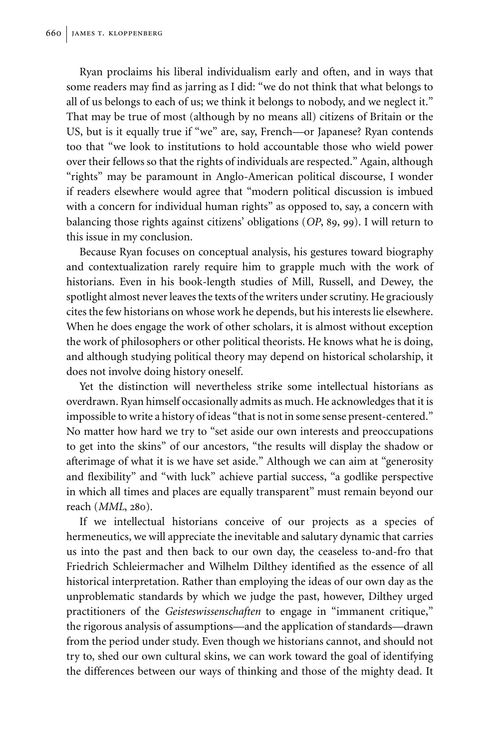Ryan proclaims his liberal individualism early and often, and in ways that some readers may find as jarring as I did: "we do not think that what belongs to all of us belongs to each of us; we think it belongs to nobody, and we neglect it." That may be true of most (although by no means all) citizens of Britain or the US, but is it equally true if "we" are, say, French—or Japanese? Ryan contends too that "we look to institutions to hold accountable those who wield power over their fellows so that the rights of individuals are respected." Again, although "rights" may be paramount in Anglo-American political discourse, I wonder if readers elsewhere would agree that "modern political discussion is imbued with a concern for individual human rights" as opposed to, say, a concern with balancing those rights against citizens' obligations (*OP*, 89, 99). I will return to this issue in my conclusion.

Because Ryan focuses on conceptual analysis, his gestures toward biography and contextualization rarely require him to grapple much with the work of historians. Even in his book-length studies of Mill, Russell, and Dewey, the spotlight almost never leaves the texts of the writers under scrutiny. He graciously cites the few historians on whose work he depends, but his interests lie elsewhere. When he does engage the work of other scholars, it is almost without exception the work of philosophers or other political theorists. He knows what he is doing, and although studying political theory may depend on historical scholarship, it does not involve doing history oneself.

Yet the distinction will nevertheless strike some intellectual historians as overdrawn. Ryan himself occasionally admits as much. He acknowledges that it is impossible to write a history of ideas "that is not in some sense present-centered." No matter how hard we try to "set aside our own interests and preoccupations to get into the skins" of our ancestors, "the results will display the shadow or afterimage of what it is we have set aside." Although we can aim at "generosity and flexibility" and "with luck" achieve partial success, "a godlike perspective in which all times and places are equally transparent" must remain beyond our reach (*MML*, 280).

If we intellectual historians conceive of our projects as a species of hermeneutics, we will appreciate the inevitable and salutary dynamic that carries us into the past and then back to our own day, the ceaseless to-and-fro that Friedrich Schleiermacher and Wilhelm Dilthey identified as the essence of all historical interpretation. Rather than employing the ideas of our own day as the unproblematic standards by which we judge the past, however, Dilthey urged practitioners of the *Geisteswissenschaften* to engage in "immanent critique," the rigorous analysis of assumptions—and the application of standards—drawn from the period under study. Even though we historians cannot, and should not try to, shed our own cultural skins, we can work toward the goal of identifying the differences between our ways of thinking and those of the mighty dead. It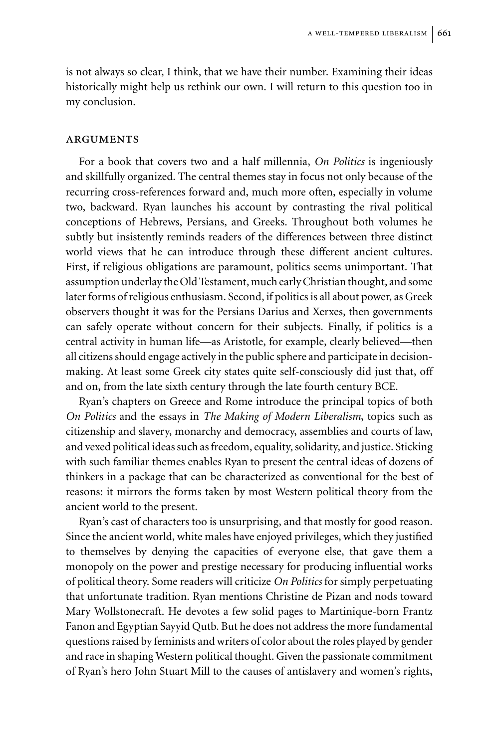is not always so clear, I think, that we have their number. Examining their ideas historically might help us rethink our own. I will return to this question too in my conclusion.

#### **ARGUMENTS**

For a book that covers two and a half millennia, *On Politics* is ingeniously and skillfully organized. The central themes stay in focus not only because of the recurring cross-references forward and, much more often, especially in volume two, backward. Ryan launches his account by contrasting the rival political conceptions of Hebrews, Persians, and Greeks. Throughout both volumes he subtly but insistently reminds readers of the differences between three distinct world views that he can introduce through these different ancient cultures. First, if religious obligations are paramount, politics seems unimportant. That assumption underlay the Old Testament, much early Christian thought, and some later forms of religious enthusiasm. Second, if politics is all about power, as Greek observers thought it was for the Persians Darius and Xerxes, then governments can safely operate without concern for their subjects. Finally, if politics is a central activity in human life—as Aristotle, for example, clearly believed—then all citizens should engage actively in the public sphere and participate in decisionmaking. At least some Greek city states quite self-consciously did just that, off and on, from the late sixth century through the late fourth century BCE.

Ryan's chapters on Greece and Rome introduce the principal topics of both *On Politics* and the essays in *The Making of Modern Liberalism*, topics such as citizenship and slavery, monarchy and democracy, assemblies and courts of law, and vexed political ideas such as freedom, equality, solidarity, and justice. Sticking with such familiar themes enables Ryan to present the central ideas of dozens of thinkers in a package that can be characterized as conventional for the best of reasons: it mirrors the forms taken by most Western political theory from the ancient world to the present.

Ryan's cast of characters too is unsurprising, and that mostly for good reason. Since the ancient world, white males have enjoyed privileges, which they justified to themselves by denying the capacities of everyone else, that gave them a monopoly on the power and prestige necessary for producing influential works of political theory. Some readers will criticize *On Politics* for simply perpetuating that unfortunate tradition. Ryan mentions Christine de Pizan and nods toward Mary Wollstonecraft. He devotes a few solid pages to Martinique-born Frantz Fanon and Egyptian Sayyid Qutb. But he does not address the more fundamental questions raised by feminists and writers of color about the roles played by gender and race in shaping Western political thought. Given the passionate commitment of Ryan's hero John Stuart Mill to the causes of antislavery and women's rights,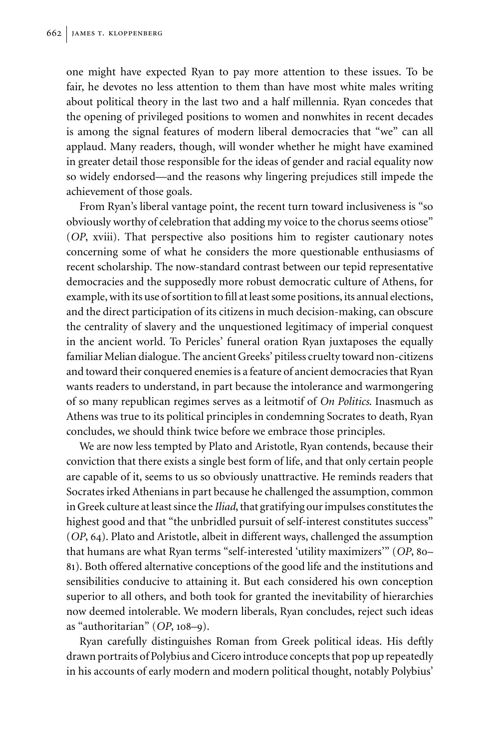one might have expected Ryan to pay more attention to these issues. To be fair, he devotes no less attention to them than have most white males writing about political theory in the last two and a half millennia. Ryan concedes that the opening of privileged positions to women and nonwhites in recent decades is among the signal features of modern liberal democracies that "we" can all applaud. Many readers, though, will wonder whether he might have examined in greater detail those responsible for the ideas of gender and racial equality now so widely endorsed—and the reasons why lingering prejudices still impede the achievement of those goals.

From Ryan's liberal vantage point, the recent turn toward inclusiveness is "so obviously worthy of celebration that adding my voice to the chorus seems otiose" (*OP*, xviii). That perspective also positions him to register cautionary notes concerning some of what he considers the more questionable enthusiasms of recent scholarship. The now-standard contrast between our tepid representative democracies and the supposedly more robust democratic culture of Athens, for example, with its use of sortition to fill at least some positions, its annual elections, and the direct participation of its citizens in much decision-making, can obscure the centrality of slavery and the unquestioned legitimacy of imperial conquest in the ancient world. To Pericles' funeral oration Ryan juxtaposes the equally familiar Melian dialogue. The ancient Greeks' pitiless cruelty toward non-citizens and toward their conquered enemies is a feature of ancient democracies that Ryan wants readers to understand, in part because the intolerance and warmongering of so many republican regimes serves as a leitmotif of *On Politics*. Inasmuch as Athens was true to its political principles in condemning Socrates to death, Ryan concludes, we should think twice before we embrace those principles.

We are now less tempted by Plato and Aristotle, Ryan contends, because their conviction that there exists a single best form of life, and that only certain people are capable of it, seems to us so obviously unattractive. He reminds readers that Socrates irked Athenians in part because he challenged the assumption, common in Greek culture at least since the *Iliad*, that gratifying our impulses constitutes the highest good and that "the unbridled pursuit of self-interest constitutes success" (*OP*, 64). Plato and Aristotle, albeit in different ways, challenged the assumption that humans are what Ryan terms "self-interested 'utility maximizers'" (*OP*, 80– 81). Both offered alternative conceptions of the good life and the institutions and sensibilities conducive to attaining it. But each considered his own conception superior to all others, and both took for granted the inevitability of hierarchies now deemed intolerable. We modern liberals, Ryan concludes, reject such ideas as "authoritarian" (*OP*, 108–9).

Ryan carefully distinguishes Roman from Greek political ideas. His deftly drawn portraits of Polybius and Cicero introduce concepts that pop up repeatedly in his accounts of early modern and modern political thought, notably Polybius'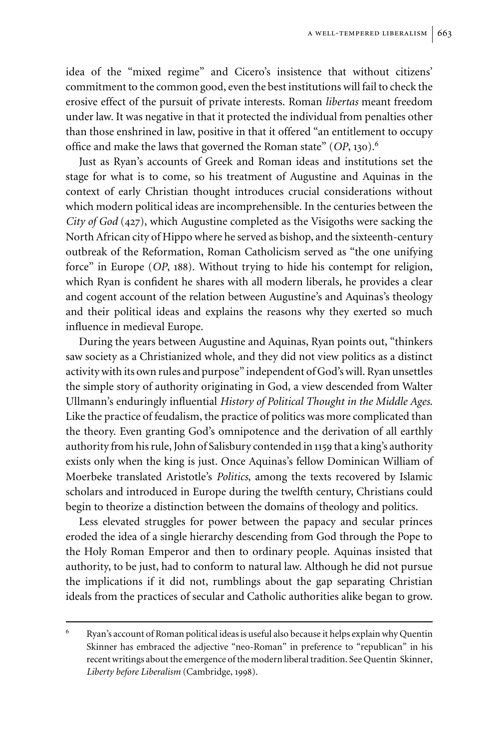idea of the "mixed regime" and Cicero's insistence that without citizens' commitment to the common good, even the best institutions will fail to check the erosive effect of the pursuit of private interests. Roman *libertas* meant freedom under law. It was negative in that it protected the individual from penalties other than those enshrined in law, positive in that it offered "an entitlement to occupy office and make the laws that governed the Roman state" (*OP*, 130).<sup>6</sup>

Just as Ryan's accounts of Greek and Roman ideas and institutions set the stage for what is to come, so his treatment of Augustine and Aquinas in the context of early Christian thought introduces crucial considerations without which modern political ideas are incomprehensible. In the centuries between the *City of God* (427), which Augustine completed as the Visigoths were sacking the North African city of Hippo where he served as bishop, and the sixteenth-century outbreak of the Reformation, Roman Catholicism served as "the one unifying force" in Europe (*OP*, 188). Without trying to hide his contempt for religion, which Ryan is confident he shares with all modern liberals, he provides a clear and cogent account of the relation between Augustine's and Aquinas's theology and their political ideas and explains the reasons why they exerted so much influence in medieval Europe.

During the years between Augustine and Aquinas, Ryan points out, "thinkers saw society as a Christianized whole, and they did not view politics as a distinct activity with its own rules and purpose" independent of God's will. Ryan unsettles the simple story of authority originating in God, a view descended from Walter Ullmann's enduringly influential *History of Political Thought in the Middle Ages*. Like the practice of feudalism, the practice of politics was more complicated than the theory. Even granting God's omnipotence and the derivation of all earthly authority from his rule, John of Salisbury contended in 1159 that a king's authority exists only when the king is just. Once Aquinas's fellow Dominican William of Moerbeke translated Aristotle's *Politics*, among the texts recovered by Islamic scholars and introduced in Europe during the twelfth century, Christians could begin to theorize a distinction between the domains of theology and politics.

Less elevated struggles for power between the papacy and secular princes eroded the idea of a single hierarchy descending from God through the Pope to the Holy Roman Emperor and then to ordinary people. Aquinas insisted that authority, to be just, had to conform to natural law. Although he did not pursue the implications if it did not, rumblings about the gap separating Christian ideals from the practices of secular and Catholic authorities alike began to grow.

<sup>6</sup> Ryan's account of Roman political ideas is useful also because it helps explain why Quentin Skinner has embraced the adjective "neo-Roman" in preference to "republican" in his recent writings about the emergence of the modern liberal tradition. See Quentin Skinner, *Liberty before Liberalism* (Cambridge, 1998).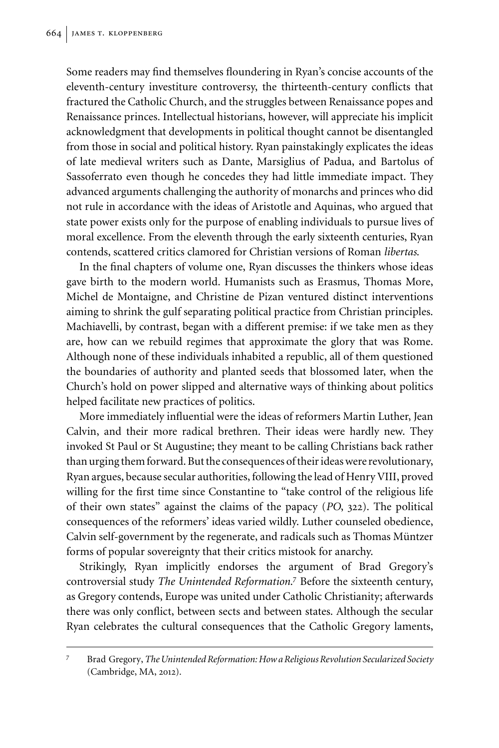Some readers may find themselves floundering in Ryan's concise accounts of the eleventh-century investiture controversy, the thirteenth-century conflicts that fractured the Catholic Church, and the struggles between Renaissance popes and Renaissance princes. Intellectual historians, however, will appreciate his implicit acknowledgment that developments in political thought cannot be disentangled from those in social and political history. Ryan painstakingly explicates the ideas of late medieval writers such as Dante, Marsiglius of Padua, and Bartolus of Sassoferrato even though he concedes they had little immediate impact. They advanced arguments challenging the authority of monarchs and princes who did not rule in accordance with the ideas of Aristotle and Aquinas, who argued that state power exists only for the purpose of enabling individuals to pursue lives of moral excellence. From the eleventh through the early sixteenth centuries, Ryan contends, scattered critics clamored for Christian versions of Roman *libertas*.

In the final chapters of volume one, Ryan discusses the thinkers whose ideas gave birth to the modern world. Humanists such as Erasmus, Thomas More, Michel de Montaigne, and Christine de Pizan ventured distinct interventions aiming to shrink the gulf separating political practice from Christian principles. Machiavelli, by contrast, began with a different premise: if we take men as they are, how can we rebuild regimes that approximate the glory that was Rome. Although none of these individuals inhabited a republic, all of them questioned the boundaries of authority and planted seeds that blossomed later, when the Church's hold on power slipped and alternative ways of thinking about politics helped facilitate new practices of politics.

More immediately influential were the ideas of reformers Martin Luther, Jean Calvin, and their more radical brethren. Their ideas were hardly new. They invoked St Paul or St Augustine; they meant to be calling Christians back rather than urging them forward. But the consequences of their ideas were revolutionary, Ryan argues, because secular authorities, following the lead of Henry VIII, proved willing for the first time since Constantine to "take control of the religious life of their own states" against the claims of the papacy (*PO*, 322). The political consequences of the reformers' ideas varied wildly. Luther counseled obedience, Calvin self-government by the regenerate, and radicals such as Thomas Muntzer ¨ forms of popular sovereignty that their critics mistook for anarchy.

Strikingly, Ryan implicitly endorses the argument of Brad Gregory's controversial study *The Unintended Reformation*. <sup>7</sup> Before the sixteenth century, as Gregory contends, Europe was united under Catholic Christianity; afterwards there was only conflict, between sects and between states. Although the secular Ryan celebrates the cultural consequences that the Catholic Gregory laments,

<sup>7</sup> Brad Gregory,*The Unintended Reformation: How a Religious Revolution Secularized Society* (Cambridge, MA, 2012).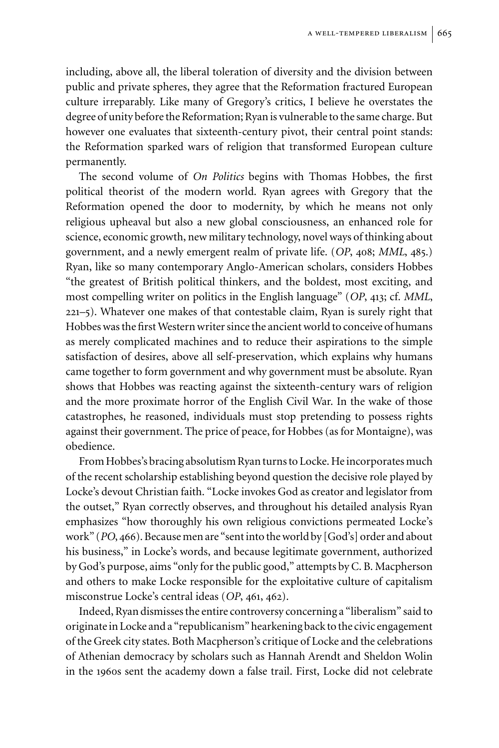including, above all, the liberal toleration of diversity and the division between public and private spheres, they agree that the Reformation fractured European culture irreparably. Like many of Gregory's critics, I believe he overstates the degree of unity before the Reformation; Ryan is vulnerable to the same charge. But however one evaluates that sixteenth-century pivot, their central point stands: the Reformation sparked wars of religion that transformed European culture permanently.

The second volume of *On Politics* begins with Thomas Hobbes, the first political theorist of the modern world. Ryan agrees with Gregory that the Reformation opened the door to modernity, by which he means not only religious upheaval but also a new global consciousness, an enhanced role for science, economic growth, new military technology, novel ways of thinking about government, and a newly emergent realm of private life. (*OP*, 408; *MML*, 485.) Ryan, like so many contemporary Anglo-American scholars, considers Hobbes "the greatest of British political thinkers, and the boldest, most exciting, and most compelling writer on politics in the English language" (*OP*, 413; cf. *MML*, 221–5). Whatever one makes of that contestable claim, Ryan is surely right that Hobbes was the first Western writer since the ancient world to conceive of humans as merely complicated machines and to reduce their aspirations to the simple satisfaction of desires, above all self-preservation, which explains why humans came together to form government and why government must be absolute. Ryan shows that Hobbes was reacting against the sixteenth-century wars of religion and the more proximate horror of the English Civil War. In the wake of those catastrophes, he reasoned, individuals must stop pretending to possess rights against their government. The price of peace, for Hobbes (as for Montaigne), was obedience.

From Hobbes's bracing absolutism Ryan turns to Locke. He incorporates much of the recent scholarship establishing beyond question the decisive role played by Locke's devout Christian faith. "Locke invokes God as creator and legislator from the outset," Ryan correctly observes, and throughout his detailed analysis Ryan emphasizes "how thoroughly his own religious convictions permeated Locke's work" (*PO*, 466). Because men are "sent into the world by [God's] order and about his business," in Locke's words, and because legitimate government, authorized by God's purpose, aims "only for the public good," attempts by C. B. Macpherson and others to make Locke responsible for the exploitative culture of capitalism misconstrue Locke's central ideas (*OP*, 461, 462).

Indeed, Ryan dismisses the entire controversy concerning a "liberalism" said to originate in Locke and a "republicanism" hearkening back to the civic engagement of the Greek city states. Both Macpherson's critique of Locke and the celebrations of Athenian democracy by scholars such as Hannah Arendt and Sheldon Wolin in the 1960s sent the academy down a false trail. First, Locke did not celebrate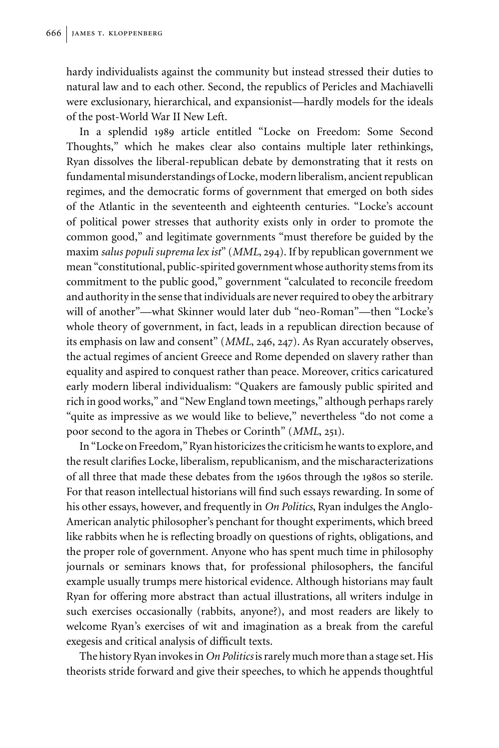hardy individualists against the community but instead stressed their duties to natural law and to each other. Second, the republics of Pericles and Machiavelli were exclusionary, hierarchical, and expansionist—hardly models for the ideals of the post-World War II New Left.

In a splendid 1989 article entitled "Locke on Freedom: Some Second Thoughts," which he makes clear also contains multiple later rethinkings, Ryan dissolves the liberal-republican debate by demonstrating that it rests on fundamental misunderstandings of Locke, modern liberalism, ancient republican regimes, and the democratic forms of government that emerged on both sides of the Atlantic in the seventeenth and eighteenth centuries. "Locke's account of political power stresses that authority exists only in order to promote the common good," and legitimate governments "must therefore be guided by the maxim *salus populi suprema lex ist*" (*MML*, 294). If by republican government we mean "constitutional, public-spirited government whose authority stems from its commitment to the public good," government "calculated to reconcile freedom and authority in the sense that individuals are never required to obey the arbitrary will of another"—what Skinner would later dub "neo-Roman"—then "Locke's whole theory of government, in fact, leads in a republican direction because of its emphasis on law and consent" (*MML*, 246, 247). As Ryan accurately observes, the actual regimes of ancient Greece and Rome depended on slavery rather than equality and aspired to conquest rather than peace. Moreover, critics caricatured early modern liberal individualism: "Quakers are famously public spirited and rich in good works," and "New England town meetings," although perhaps rarely "quite as impressive as we would like to believe," nevertheless "do not come a poor second to the agora in Thebes or Corinth" (*MML*, 251).

In "Locke on Freedom," Ryan historicizes the criticism he wants to explore, and the result clarifies Locke, liberalism, republicanism, and the mischaracterizations of all three that made these debates from the 1960s through the 1980s so sterile. For that reason intellectual historians will find such essays rewarding. In some of his other essays, however, and frequently in *On Politics*, Ryan indulges the Anglo-American analytic philosopher's penchant for thought experiments, which breed like rabbits when he is reflecting broadly on questions of rights, obligations, and the proper role of government. Anyone who has spent much time in philosophy journals or seminars knows that, for professional philosophers, the fanciful example usually trumps mere historical evidence. Although historians may fault Ryan for offering more abstract than actual illustrations, all writers indulge in such exercises occasionally (rabbits, anyone?), and most readers are likely to welcome Ryan's exercises of wit and imagination as a break from the careful exegesis and critical analysis of difficult texts.

The history Ryan invokes in *On Politics*is rarely much more than a stage set. His theorists stride forward and give their speeches, to which he appends thoughtful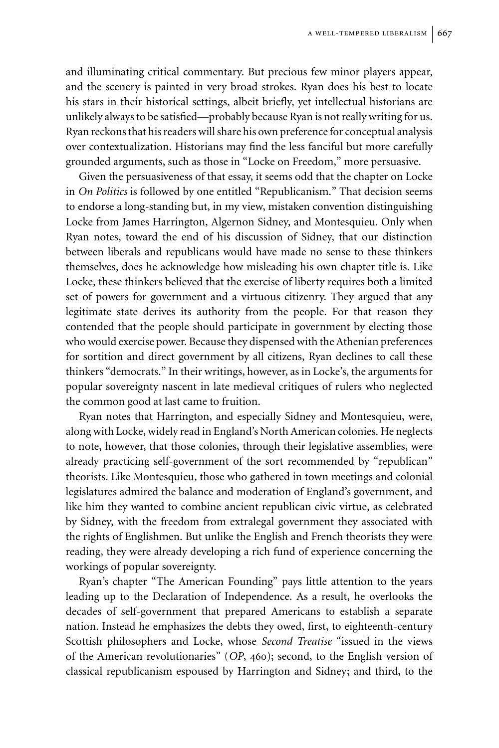and illuminating critical commentary. But precious few minor players appear, and the scenery is painted in very broad strokes. Ryan does his best to locate his stars in their historical settings, albeit briefly, yet intellectual historians are unlikely always to be satisfied—probably because Ryan is not really writing for us. Ryan reckons that his readers will share his own preference for conceptual analysis over contextualization. Historians may find the less fanciful but more carefully grounded arguments, such as those in "Locke on Freedom," more persuasive.

Given the persuasiveness of that essay, it seems odd that the chapter on Locke in *On Politics* is followed by one entitled "Republicanism." That decision seems to endorse a long-standing but, in my view, mistaken convention distinguishing Locke from James Harrington, Algernon Sidney, and Montesquieu. Only when Ryan notes, toward the end of his discussion of Sidney, that our distinction between liberals and republicans would have made no sense to these thinkers themselves, does he acknowledge how misleading his own chapter title is. Like Locke, these thinkers believed that the exercise of liberty requires both a limited set of powers for government and a virtuous citizenry. They argued that any legitimate state derives its authority from the people. For that reason they contended that the people should participate in government by electing those who would exercise power. Because they dispensed with the Athenian preferences for sortition and direct government by all citizens, Ryan declines to call these thinkers "democrats." In their writings, however, as in Locke's, the arguments for popular sovereignty nascent in late medieval critiques of rulers who neglected the common good at last came to fruition.

Ryan notes that Harrington, and especially Sidney and Montesquieu, were, along with Locke, widely read in England's North American colonies. He neglects to note, however, that those colonies, through their legislative assemblies, were already practicing self-government of the sort recommended by "republican" theorists. Like Montesquieu, those who gathered in town meetings and colonial legislatures admired the balance and moderation of England's government, and like him they wanted to combine ancient republican civic virtue, as celebrated by Sidney, with the freedom from extralegal government they associated with the rights of Englishmen. But unlike the English and French theorists they were reading, they were already developing a rich fund of experience concerning the workings of popular sovereignty.

Ryan's chapter "The American Founding" pays little attention to the years leading up to the Declaration of Independence. As a result, he overlooks the decades of self-government that prepared Americans to establish a separate nation. Instead he emphasizes the debts they owed, first, to eighteenth-century Scottish philosophers and Locke, whose *Second Treatise* "issued in the views of the American revolutionaries" (*OP*, 460); second, to the English version of classical republicanism espoused by Harrington and Sidney; and third, to the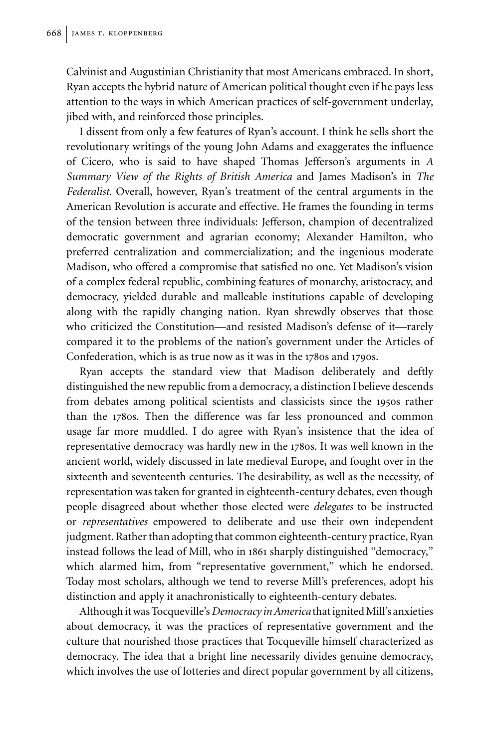Calvinist and Augustinian Christianity that most Americans embraced. In short, Ryan accepts the hybrid nature of American political thought even if he pays less attention to the ways in which American practices of self-government underlay, jibed with, and reinforced those principles.

I dissent from only a few features of Ryan's account. I think he sells short the revolutionary writings of the young John Adams and exaggerates the influence of Cicero, who is said to have shaped Thomas Jefferson's arguments in *A Summary View of the Rights of British America* and James Madison's in *The Federalist*. Overall, however, Ryan's treatment of the central arguments in the American Revolution is accurate and effective. He frames the founding in terms of the tension between three individuals: Jefferson, champion of decentralized democratic government and agrarian economy; Alexander Hamilton, who preferred centralization and commercialization; and the ingenious moderate Madison, who offered a compromise that satisfied no one. Yet Madison's vision of a complex federal republic, combining features of monarchy, aristocracy, and democracy, yielded durable and malleable institutions capable of developing along with the rapidly changing nation. Ryan shrewdly observes that those who criticized the Constitution—and resisted Madison's defense of it—rarely compared it to the problems of the nation's government under the Articles of Confederation, which is as true now as it was in the 1780s and 1790s.

Ryan accepts the standard view that Madison deliberately and deftly distinguished the new republic from a democracy, a distinction I believe descends from debates among political scientists and classicists since the 1950s rather than the 1780s. Then the difference was far less pronounced and common usage far more muddled. I do agree with Ryan's insistence that the idea of representative democracy was hardly new in the 1780s. It was well known in the ancient world, widely discussed in late medieval Europe, and fought over in the sixteenth and seventeenth centuries. The desirability, as well as the necessity, of representation was taken for granted in eighteenth-century debates, even though people disagreed about whether those elected were *delegates* to be instructed or *representatives* empowered to deliberate and use their own independent judgment. Rather than adopting that common eighteenth-century practice, Ryan instead follows the lead of Mill, who in 1861 sharply distinguished "democracy," which alarmed him, from "representative government," which he endorsed. Today most scholars, although we tend to reverse Mill's preferences, adopt his distinction and apply it anachronistically to eighteenth-century debates.

Although it was Tocqueville's*Democracyin America* that ignited Mill's anxieties about democracy, it was the practices of representative government and the culture that nourished those practices that Tocqueville himself characterized as democracy. The idea that a bright line necessarily divides genuine democracy, which involves the use of lotteries and direct popular government by all citizens,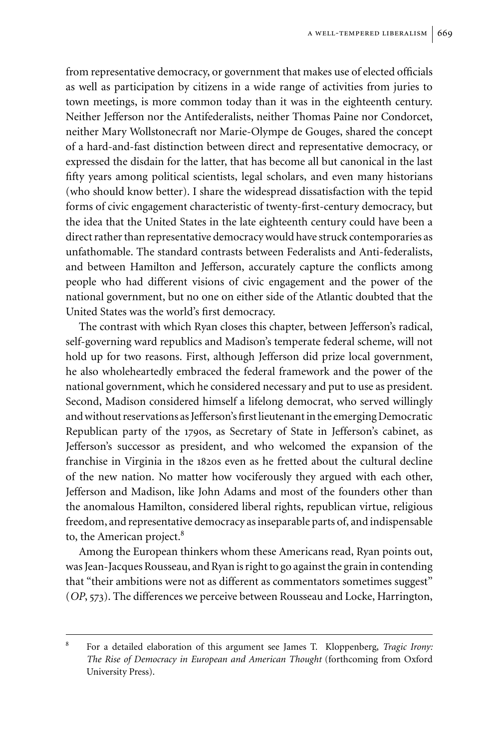from representative democracy, or government that makes use of elected officials as well as participation by citizens in a wide range of activities from juries to town meetings, is more common today than it was in the eighteenth century. Neither Jefferson nor the Antifederalists, neither Thomas Paine nor Condorcet, neither Mary Wollstonecraft nor Marie-Olympe de Gouges, shared the concept of a hard-and-fast distinction between direct and representative democracy, or expressed the disdain for the latter, that has become all but canonical in the last fifty years among political scientists, legal scholars, and even many historians (who should know better). I share the widespread dissatisfaction with the tepid forms of civic engagement characteristic of twenty-first-century democracy, but the idea that the United States in the late eighteenth century could have been a direct rather than representative democracy would have struck contemporaries as unfathomable. The standard contrasts between Federalists and Anti-federalists, and between Hamilton and Jefferson, accurately capture the conflicts among people who had different visions of civic engagement and the power of the national government, but no one on either side of the Atlantic doubted that the United States was the world's first democracy.

The contrast with which Ryan closes this chapter, between Jefferson's radical, self-governing ward republics and Madison's temperate federal scheme, will not hold up for two reasons. First, although Jefferson did prize local government, he also wholeheartedly embraced the federal framework and the power of the national government, which he considered necessary and put to use as president. Second, Madison considered himself a lifelong democrat, who served willingly and without reservations as Jefferson's first lieutenant in the emerging Democratic Republican party of the 1790s, as Secretary of State in Jefferson's cabinet, as Jefferson's successor as president, and who welcomed the expansion of the franchise in Virginia in the 1820s even as he fretted about the cultural decline of the new nation. No matter how vociferously they argued with each other, Jefferson and Madison, like John Adams and most of the founders other than the anomalous Hamilton, considered liberal rights, republican virtue, religious freedom, and representative democracy as inseparable parts of, and indispensable to, the American project.<sup>8</sup>

Among the European thinkers whom these Americans read, Ryan points out, was Jean-Jacques Rousseau, and Ryan is right to go against the grain in contending that "their ambitions were not as different as commentators sometimes suggest" (*OP*,573). The differences we perceive between Rousseau and Locke, Harrington,

<sup>8</sup> For a detailed elaboration of this argument see James T. Kloppenberg, *Tragic Irony: The Rise of Democracy in European and American Thought* (forthcoming from Oxford University Press).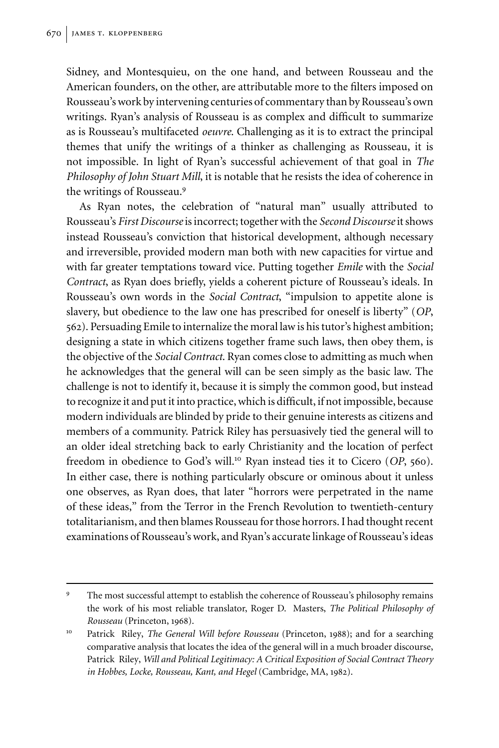Sidney, and Montesquieu, on the one hand, and between Rousseau and the American founders, on the other, are attributable more to the filters imposed on Rousseau's work by intervening centuries of commentary than by Rousseau's own writings. Ryan's analysis of Rousseau is as complex and difficult to summarize as is Rousseau's multifaceted *oeuvre*. Challenging as it is to extract the principal themes that unify the writings of a thinker as challenging as Rousseau, it is not impossible. In light of Ryan's successful achievement of that goal in *The Philosophy of John Stuart Mill*, it is notable that he resists the idea of coherence in the writings of Rousseau.<sup>9</sup>

As Ryan notes, the celebration of "natural man" usually attributed to Rousseau's *First Discourse*is incorrect; together with the *Second Discourse*it shows instead Rousseau's conviction that historical development, although necessary and irreversible, provided modern man both with new capacities for virtue and with far greater temptations toward vice. Putting together *Emile* with the *Social Contract*, as Ryan does briefly, yields a coherent picture of Rousseau's ideals. In Rousseau's own words in the *Social Contract*, "impulsion to appetite alone is slavery, but obedience to the law one has prescribed for oneself is liberty" (*OP*, 562). Persuading Emile to internalize the moral law is his tutor's highest ambition; designing a state in which citizens together frame such laws, then obey them, is the objective of the *Social Contract*. Ryan comes close to admitting as much when he acknowledges that the general will can be seen simply as the basic law. The challenge is not to identify it, because it is simply the common good, but instead to recognize it and put it into practice, which is difficult, if not impossible, because modern individuals are blinded by pride to their genuine interests as citizens and members of a community. Patrick Riley has persuasively tied the general will to an older ideal stretching back to early Christianity and the location of perfect freedom in obedience to God's will.<sup>10</sup> Ryan instead ties it to Cicero (*OP*, 560). In either case, there is nothing particularly obscure or ominous about it unless one observes, as Ryan does, that later "horrors were perpetrated in the name of these ideas," from the Terror in the French Revolution to twentieth-century totalitarianism, and then blames Rousseau for those horrors. I had thought recent examinations of Rousseau's work, and Ryan's accurate linkage of Rousseau's ideas

<sup>9</sup> The most successful attempt to establish the coherence of Rousseau's philosophy remains the work of his most reliable translator, Roger D. Masters, *The Political Philosophy of Rousseau* (Princeton, 1968).

<sup>10</sup> Patrick Riley, *The General Will before Rousseau* (Princeton, 1988); and for a searching comparative analysis that locates the idea of the general will in a much broader discourse, Patrick Riley, *Will and Political Legitimacy: A Critical Exposition of Social Contract Theory in Hobbes, Locke, Rousseau, Kant, and Hegel* (Cambridge, MA, 1982).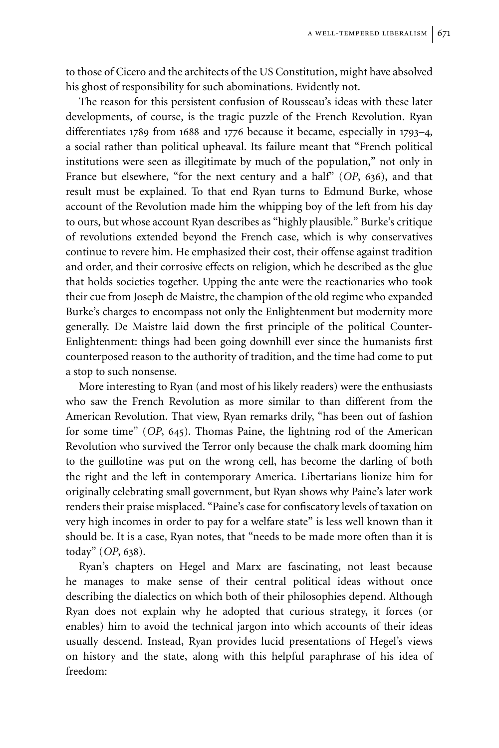to those of Cicero and the architects of the US Constitution, might have absolved his ghost of responsibility for such abominations. Evidently not.

The reason for this persistent confusion of Rousseau's ideas with these later developments, of course, is the tragic puzzle of the French Revolution. Ryan differentiates 1789 from 1688 and 1776 because it became, especially in 1793–4, a social rather than political upheaval. Its failure meant that "French political institutions were seen as illegitimate by much of the population," not only in France but elsewhere, "for the next century and a half" (*OP*, 636), and that result must be explained. To that end Ryan turns to Edmund Burke, whose account of the Revolution made him the whipping boy of the left from his day to ours, but whose account Ryan describes as "highly plausible." Burke's critique of revolutions extended beyond the French case, which is why conservatives continue to revere him. He emphasized their cost, their offense against tradition and order, and their corrosive effects on religion, which he described as the glue that holds societies together. Upping the ante were the reactionaries who took their cue from Joseph de Maistre, the champion of the old regime who expanded Burke's charges to encompass not only the Enlightenment but modernity more generally. De Maistre laid down the first principle of the political Counter-Enlightenment: things had been going downhill ever since the humanists first counterposed reason to the authority of tradition, and the time had come to put a stop to such nonsense.

More interesting to Ryan (and most of his likely readers) were the enthusiasts who saw the French Revolution as more similar to than different from the American Revolution. That view, Ryan remarks drily, "has been out of fashion for some time" (*OP*, 645). Thomas Paine, the lightning rod of the American Revolution who survived the Terror only because the chalk mark dooming him to the guillotine was put on the wrong cell, has become the darling of both the right and the left in contemporary America. Libertarians lionize him for originally celebrating small government, but Ryan shows why Paine's later work renders their praise misplaced. "Paine's case for confiscatory levels of taxation on very high incomes in order to pay for a welfare state" is less well known than it should be. It is a case, Ryan notes, that "needs to be made more often than it is today" (*OP*, 638).

Ryan's chapters on Hegel and Marx are fascinating, not least because he manages to make sense of their central political ideas without once describing the dialectics on which both of their philosophies depend. Although Ryan does not explain why he adopted that curious strategy, it forces (or enables) him to avoid the technical jargon into which accounts of their ideas usually descend. Instead, Ryan provides lucid presentations of Hegel's views on history and the state, along with this helpful paraphrase of his idea of freedom: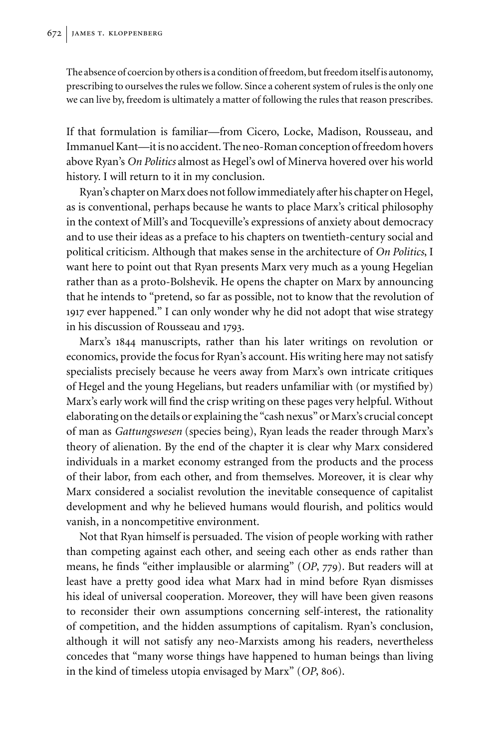The absence of coercion by others is a condition of freedom, but freedom itself is autonomy, prescribing to ourselves the rules we follow. Since a coherent system of rules is the only one we can live by, freedom is ultimately a matter of following the rules that reason prescribes.

If that formulation is familiar—from Cicero, Locke, Madison, Rousseau, and Immanuel Kant—it is no accident. The neo-Roman conception of freedom hovers above Ryan's *On Politics* almost as Hegel's owl of Minerva hovered over his world history. I will return to it in my conclusion.

Ryan's chapter on Marx does not follow immediately after his chapter on Hegel, as is conventional, perhaps because he wants to place Marx's critical philosophy in the context of Mill's and Tocqueville's expressions of anxiety about democracy and to use their ideas as a preface to his chapters on twentieth-century social and political criticism. Although that makes sense in the architecture of *On Politics*, I want here to point out that Ryan presents Marx very much as a young Hegelian rather than as a proto-Bolshevik. He opens the chapter on Marx by announcing that he intends to "pretend, so far as possible, not to know that the revolution of 1917 ever happened." I can only wonder why he did not adopt that wise strategy in his discussion of Rousseau and 1793.

Marx's 1844 manuscripts, rather than his later writings on revolution or economics, provide the focus for Ryan's account. His writing here may not satisfy specialists precisely because he veers away from Marx's own intricate critiques of Hegel and the young Hegelians, but readers unfamiliar with (or mystified by) Marx's early work will find the crisp writing on these pages very helpful. Without elaborating on the details or explaining the "cash nexus" or Marx's crucial concept of man as *Gattungswesen* (species being), Ryan leads the reader through Marx's theory of alienation. By the end of the chapter it is clear why Marx considered individuals in a market economy estranged from the products and the process of their labor, from each other, and from themselves. Moreover, it is clear why Marx considered a socialist revolution the inevitable consequence of capitalist development and why he believed humans would flourish, and politics would vanish, in a noncompetitive environment.

Not that Ryan himself is persuaded. The vision of people working with rather than competing against each other, and seeing each other as ends rather than means, he finds "either implausible or alarming" (*OP*, 779). But readers will at least have a pretty good idea what Marx had in mind before Ryan dismisses his ideal of universal cooperation. Moreover, they will have been given reasons to reconsider their own assumptions concerning self-interest, the rationality of competition, and the hidden assumptions of capitalism. Ryan's conclusion, although it will not satisfy any neo-Marxists among his readers, nevertheless concedes that "many worse things have happened to human beings than living in the kind of timeless utopia envisaged by Marx" (*OP*, 806).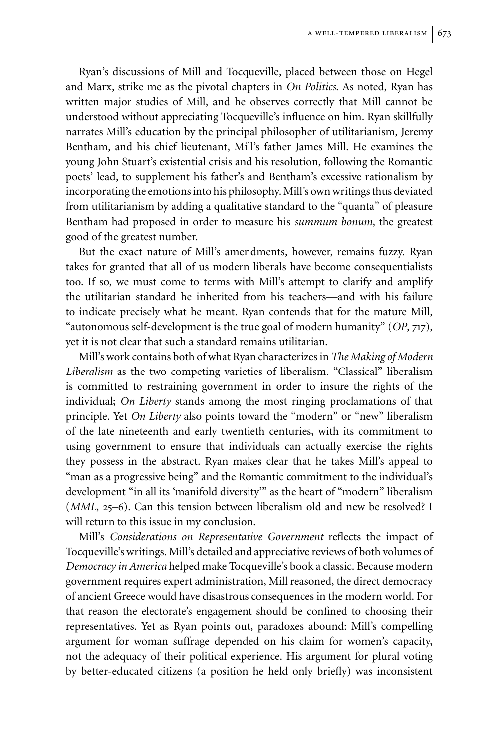Ryan's discussions of Mill and Tocqueville, placed between those on Hegel and Marx, strike me as the pivotal chapters in *On Politics*. As noted, Ryan has written major studies of Mill, and he observes correctly that Mill cannot be understood without appreciating Tocqueville's influence on him. Ryan skillfully narrates Mill's education by the principal philosopher of utilitarianism, Jeremy Bentham, and his chief lieutenant, Mill's father James Mill. He examines the young John Stuart's existential crisis and his resolution, following the Romantic poets' lead, to supplement his father's and Bentham's excessive rationalism by incorporating the emotions into his philosophy. Mill's own writings thus deviated from utilitarianism by adding a qualitative standard to the "quanta" of pleasure Bentham had proposed in order to measure his *summum bonum*, the greatest good of the greatest number.

But the exact nature of Mill's amendments, however, remains fuzzy. Ryan takes for granted that all of us modern liberals have become consequentialists too. If so, we must come to terms with Mill's attempt to clarify and amplify the utilitarian standard he inherited from his teachers—and with his failure to indicate precisely what he meant. Ryan contends that for the mature Mill, "autonomous self-development is the true goal of modern humanity" (*OP*, 717), yet it is not clear that such a standard remains utilitarian.

Mill's work contains both of what Ryan characterizes in *The Making of Modern Liberalism* as the two competing varieties of liberalism. "Classical" liberalism is committed to restraining government in order to insure the rights of the individual; *On Liberty* stands among the most ringing proclamations of that principle. Yet *On Liberty* also points toward the "modern" or "new" liberalism of the late nineteenth and early twentieth centuries, with its commitment to using government to ensure that individuals can actually exercise the rights they possess in the abstract. Ryan makes clear that he takes Mill's appeal to "man as a progressive being" and the Romantic commitment to the individual's development "in all its 'manifold diversity'" as the heart of "modern" liberalism (*MML*, 25–6). Can this tension between liberalism old and new be resolved? I will return to this issue in my conclusion.

Mill's *Considerations on Representative Government* reflects the impact of Tocqueville's writings. Mill's detailed and appreciative reviews of both volumes of *Democracy in America* helped make Tocqueville's book a classic. Because modern government requires expert administration, Mill reasoned, the direct democracy of ancient Greece would have disastrous consequences in the modern world. For that reason the electorate's engagement should be confined to choosing their representatives. Yet as Ryan points out, paradoxes abound: Mill's compelling argument for woman suffrage depended on his claim for women's capacity, not the adequacy of their political experience. His argument for plural voting by better-educated citizens (a position he held only briefly) was inconsistent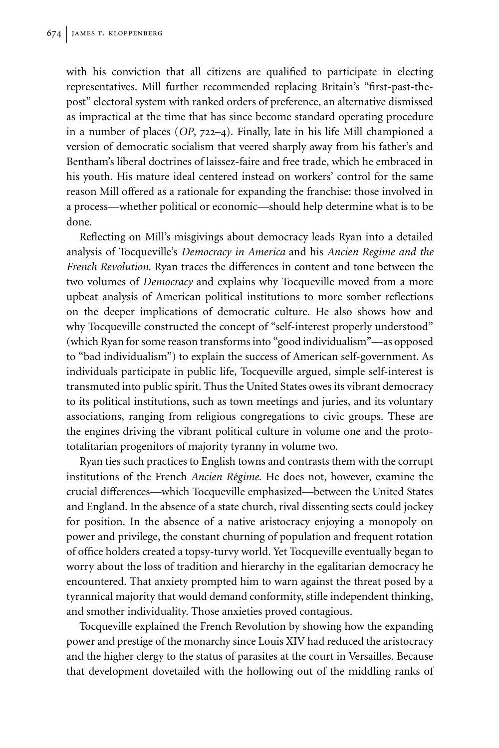with his conviction that all citizens are qualified to participate in electing representatives. Mill further recommended replacing Britain's "first-past-thepost" electoral system with ranked orders of preference, an alternative dismissed as impractical at the time that has since become standard operating procedure in a number of places (*OP*, 722–4). Finally, late in his life Mill championed a version of democratic socialism that veered sharply away from his father's and Bentham's liberal doctrines of laissez-faire and free trade, which he embraced in his youth. His mature ideal centered instead on workers' control for the same reason Mill offered as a rationale for expanding the franchise: those involved in a process—whether political or economic—should help determine what is to be done.

Reflecting on Mill's misgivings about democracy leads Ryan into a detailed analysis of Tocqueville's *Democracy in America* and his *Ancien Regime and the French Revolution*. Ryan traces the differences in content and tone between the two volumes of *Democracy* and explains why Tocqueville moved from a more upbeat analysis of American political institutions to more somber reflections on the deeper implications of democratic culture. He also shows how and why Tocqueville constructed the concept of "self-interest properly understood" (which Ryan for some reason transforms into "good individualism"—as opposed to "bad individualism") to explain the success of American self-government. As individuals participate in public life, Tocqueville argued, simple self-interest is transmuted into public spirit. Thus the United States owes its vibrant democracy to its political institutions, such as town meetings and juries, and its voluntary associations, ranging from religious congregations to civic groups. These are the engines driving the vibrant political culture in volume one and the protototalitarian progenitors of majority tyranny in volume two.

Ryan ties such practices to English towns and contrasts them with the corrupt institutions of the French *Ancien Régime*. He does not, however, examine the crucial differences—which Tocqueville emphasized—between the United States and England. In the absence of a state church, rival dissenting sects could jockey for position. In the absence of a native aristocracy enjoying a monopoly on power and privilege, the constant churning of population and frequent rotation of office holders created a topsy-turvy world. Yet Tocqueville eventually began to worry about the loss of tradition and hierarchy in the egalitarian democracy he encountered. That anxiety prompted him to warn against the threat posed by a tyrannical majority that would demand conformity, stifle independent thinking, and smother individuality. Those anxieties proved contagious.

Tocqueville explained the French Revolution by showing how the expanding power and prestige of the monarchy since Louis XIV had reduced the aristocracy and the higher clergy to the status of parasites at the court in Versailles. Because that development dovetailed with the hollowing out of the middling ranks of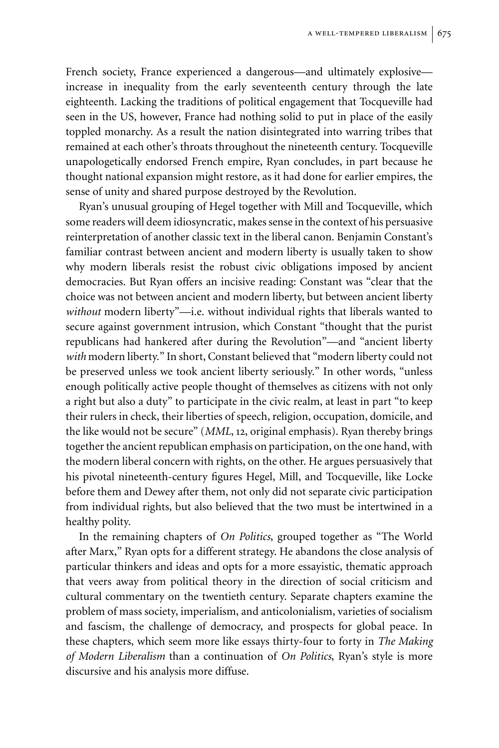French society, France experienced a dangerous—and ultimately explosive increase in inequality from the early seventeenth century through the late eighteenth. Lacking the traditions of political engagement that Tocqueville had seen in the US, however, France had nothing solid to put in place of the easily toppled monarchy. As a result the nation disintegrated into warring tribes that remained at each other's throats throughout the nineteenth century. Tocqueville unapologetically endorsed French empire, Ryan concludes, in part because he thought national expansion might restore, as it had done for earlier empires, the sense of unity and shared purpose destroyed by the Revolution.

Ryan's unusual grouping of Hegel together with Mill and Tocqueville, which some readers will deem idiosyncratic, makes sense in the context of his persuasive reinterpretation of another classic text in the liberal canon. Benjamin Constant's familiar contrast between ancient and modern liberty is usually taken to show why modern liberals resist the robust civic obligations imposed by ancient democracies. But Ryan offers an incisive reading: Constant was "clear that the choice was not between ancient and modern liberty, but between ancient liberty *without* modern liberty"—i.e. without individual rights that liberals wanted to secure against government intrusion, which Constant "thought that the purist republicans had hankered after during the Revolution"—and "ancient liberty *with* modern liberty." In short, Constant believed that "modern liberty could not be preserved unless we took ancient liberty seriously." In other words, "unless enough politically active people thought of themselves as citizens with not only a right but also a duty" to participate in the civic realm, at least in part "to keep their rulers in check, their liberties of speech, religion, occupation, domicile, and the like would not be secure" (*MML*, 12, original emphasis). Ryan thereby brings together the ancient republican emphasis on participation, on the one hand, with the modern liberal concern with rights, on the other. He argues persuasively that his pivotal nineteenth-century figures Hegel, Mill, and Tocqueville, like Locke before them and Dewey after them, not only did not separate civic participation from individual rights, but also believed that the two must be intertwined in a healthy polity.

In the remaining chapters of *On Politics*, grouped together as "The World after Marx," Ryan opts for a different strategy. He abandons the close analysis of particular thinkers and ideas and opts for a more essayistic, thematic approach that veers away from political theory in the direction of social criticism and cultural commentary on the twentieth century. Separate chapters examine the problem of mass society, imperialism, and anticolonialism, varieties of socialism and fascism, the challenge of democracy, and prospects for global peace. In these chapters, which seem more like essays thirty-four to forty in *The Making of Modern Liberalism* than a continuation of *On Politics*, Ryan's style is more discursive and his analysis more diffuse.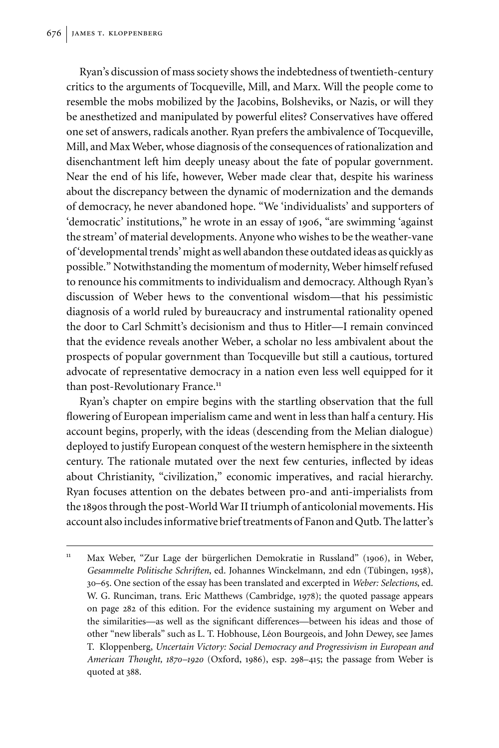Ryan's discussion of mass society shows the indebtedness of twentieth-century critics to the arguments of Tocqueville, Mill, and Marx. Will the people come to resemble the mobs mobilized by the Jacobins, Bolsheviks, or Nazis, or will they be anesthetized and manipulated by powerful elites? Conservatives have offered one set of answers, radicals another. Ryan prefers the ambivalence of Tocqueville, Mill, and Max Weber, whose diagnosis of the consequences of rationalization and disenchantment left him deeply uneasy about the fate of popular government. Near the end of his life, however, Weber made clear that, despite his wariness about the discrepancy between the dynamic of modernization and the demands of democracy, he never abandoned hope. "We 'individualists' and supporters of 'democratic' institutions," he wrote in an essay of 1906, "are swimming 'against the stream' of material developments. Anyone who wishes to be the weather-vane of 'developmental trends' might as well abandon these outdated ideas as quickly as possible." Notwithstanding the momentum of modernity, Weber himself refused to renounce his commitments to individualism and democracy. Although Ryan's discussion of Weber hews to the conventional wisdom—that his pessimistic diagnosis of a world ruled by bureaucracy and instrumental rationality opened the door to Carl Schmitt's decisionism and thus to Hitler—I remain convinced that the evidence reveals another Weber, a scholar no less ambivalent about the prospects of popular government than Tocqueville but still a cautious, tortured advocate of representative democracy in a nation even less well equipped for it than post-Revolutionary France.<sup>11</sup>

Ryan's chapter on empire begins with the startling observation that the full flowering of European imperialism came and went in less than half a century. His account begins, properly, with the ideas (descending from the Melian dialogue) deployed to justify European conquest of the western hemisphere in the sixteenth century. The rationale mutated over the next few centuries, inflected by ideas about Christianity, "civilization," economic imperatives, and racial hierarchy. Ryan focuses attention on the debates between pro-and anti-imperialists from the 1890s through the post-World War II triumph of anticolonial movements. His account also includes informative brief treatments of Fanon and Qutb. The latter's

<sup>&</sup>lt;sup>11</sup> Max Weber, "Zur Lage der bürgerlichen Demokratie in Russland" (1906), in Weber, Gesammelte Politische Schriften, ed. Johannes Winckelmann, 2nd edn (Tübingen, 1958), 30–65. One section of the essay has been translated and excerpted in *Weber: Selections*, ed. W. G. Runciman, trans. Eric Matthews (Cambridge, 1978); the quoted passage appears on page 282 of this edition. For the evidence sustaining my argument on Weber and the similarities—as well as the significant differences—between his ideas and those of other "new liberals" such as L. T. Hobhouse, Léon Bourgeois, and John Dewey, see James T. Kloppenberg, *Uncertain Victory: Social Democracy and Progressivism in European and American Thought, 1870–1920* (Oxford, 1986), esp. 298–415; the passage from Weber is quoted at 388.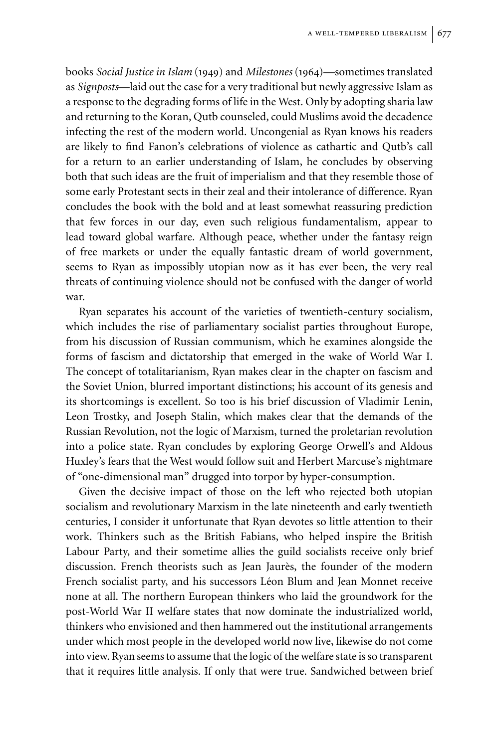books *Social Justice in Islam* (1949) and *Milestones* (1964)—sometimes translated as *Signposts*—laid out the case for a very traditional but newly aggressive Islam as a response to the degrading forms of life in the West. Only by adopting sharia law and returning to the Koran, Qutb counseled, could Muslims avoid the decadence infecting the rest of the modern world. Uncongenial as Ryan knows his readers are likely to find Fanon's celebrations of violence as cathartic and Qutb's call for a return to an earlier understanding of Islam, he concludes by observing both that such ideas are the fruit of imperialism and that they resemble those of some early Protestant sects in their zeal and their intolerance of difference. Ryan concludes the book with the bold and at least somewhat reassuring prediction that few forces in our day, even such religious fundamentalism, appear to lead toward global warfare. Although peace, whether under the fantasy reign of free markets or under the equally fantastic dream of world government, seems to Ryan as impossibly utopian now as it has ever been, the very real threats of continuing violence should not be confused with the danger of world war.

Ryan separates his account of the varieties of twentieth-century socialism, which includes the rise of parliamentary socialist parties throughout Europe, from his discussion of Russian communism, which he examines alongside the forms of fascism and dictatorship that emerged in the wake of World War I. The concept of totalitarianism, Ryan makes clear in the chapter on fascism and the Soviet Union, blurred important distinctions; his account of its genesis and its shortcomings is excellent. So too is his brief discussion of Vladimir Lenin, Leon Trostky, and Joseph Stalin, which makes clear that the demands of the Russian Revolution, not the logic of Marxism, turned the proletarian revolution into a police state. Ryan concludes by exploring George Orwell's and Aldous Huxley's fears that the West would follow suit and Herbert Marcuse's nightmare of "one-dimensional man" drugged into torpor by hyper-consumption.

Given the decisive impact of those on the left who rejected both utopian socialism and revolutionary Marxism in the late nineteenth and early twentieth centuries, I consider it unfortunate that Ryan devotes so little attention to their work. Thinkers such as the British Fabians, who helped inspire the British Labour Party, and their sometime allies the guild socialists receive only brief discussion. French theorists such as Jean Jaurès, the founder of the modern French socialist party, and his successors Léon Blum and Jean Monnet receive none at all. The northern European thinkers who laid the groundwork for the post-World War II welfare states that now dominate the industrialized world, thinkers who envisioned and then hammered out the institutional arrangements under which most people in the developed world now live, likewise do not come into view. Ryan seems to assume that the logic of the welfare state is so transparent that it requires little analysis. If only that were true. Sandwiched between brief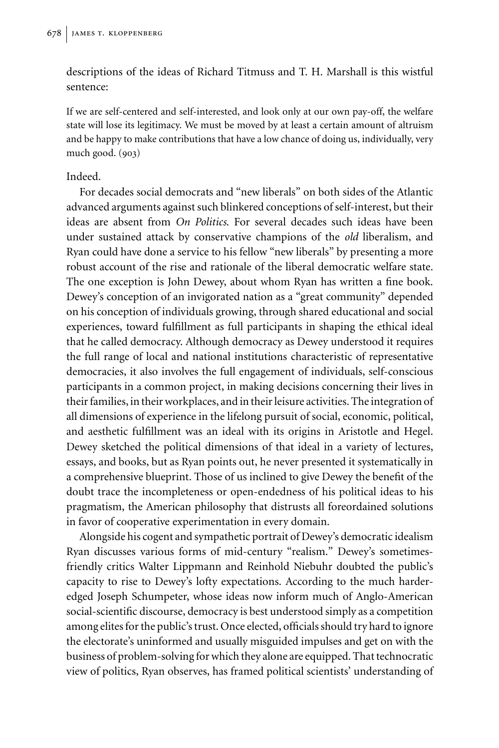descriptions of the ideas of Richard Titmuss and T. H. Marshall is this wistful sentence:

If we are self-centered and self-interested, and look only at our own pay-off, the welfare state will lose its legitimacy. We must be moved by at least a certain amount of altruism and be happy to make contributions that have a low chance of doing us, individually, very much good. (903)

## Indeed.

For decades social democrats and "new liberals" on both sides of the Atlantic advanced arguments against such blinkered conceptions of self-interest, but their ideas are absent from *On Politics*. For several decades such ideas have been under sustained attack by conservative champions of the *old* liberalism, and Ryan could have done a service to his fellow "new liberals" by presenting a more robust account of the rise and rationale of the liberal democratic welfare state. The one exception is John Dewey, about whom Ryan has written a fine book. Dewey's conception of an invigorated nation as a "great community" depended on his conception of individuals growing, through shared educational and social experiences, toward fulfillment as full participants in shaping the ethical ideal that he called democracy. Although democracy as Dewey understood it requires the full range of local and national institutions characteristic of representative democracies, it also involves the full engagement of individuals, self-conscious participants in a common project, in making decisions concerning their lives in their families, in their workplaces, and in their leisure activities. The integration of all dimensions of experience in the lifelong pursuit of social, economic, political, and aesthetic fulfillment was an ideal with its origins in Aristotle and Hegel. Dewey sketched the political dimensions of that ideal in a variety of lectures, essays, and books, but as Ryan points out, he never presented it systematically in a comprehensive blueprint. Those of us inclined to give Dewey the benefit of the doubt trace the incompleteness or open-endedness of his political ideas to his pragmatism, the American philosophy that distrusts all foreordained solutions in favor of cooperative experimentation in every domain.

Alongside his cogent and sympathetic portrait of Dewey's democratic idealism Ryan discusses various forms of mid-century "realism." Dewey's sometimesfriendly critics Walter Lippmann and Reinhold Niebuhr doubted the public's capacity to rise to Dewey's lofty expectations. According to the much harderedged Joseph Schumpeter, whose ideas now inform much of Anglo-American social-scientific discourse, democracy is best understood simply as a competition among elites for the public's trust. Once elected, officials should try hard to ignore the electorate's uninformed and usually misguided impulses and get on with the business of problem-solving for which they alone are equipped. That technocratic view of politics, Ryan observes, has framed political scientists' understanding of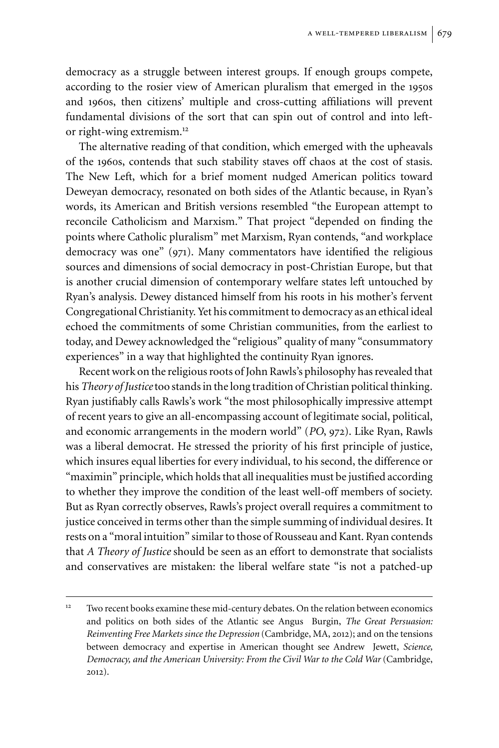democracy as a struggle between interest groups. If enough groups compete, according to the rosier view of American pluralism that emerged in the 1950s and 1960s, then citizens' multiple and cross-cutting affiliations will prevent fundamental divisions of the sort that can spin out of control and into leftor right-wing extremism.<sup>12</sup>

The alternative reading of that condition, which emerged with the upheavals of the 1960s, contends that such stability staves off chaos at the cost of stasis. The New Left, which for a brief moment nudged American politics toward Deweyan democracy, resonated on both sides of the Atlantic because, in Ryan's words, its American and British versions resembled "the European attempt to reconcile Catholicism and Marxism." That project "depended on finding the points where Catholic pluralism" met Marxism, Ryan contends, "and workplace democracy was one" (971). Many commentators have identified the religious sources and dimensions of social democracy in post-Christian Europe, but that is another crucial dimension of contemporary welfare states left untouched by Ryan's analysis. Dewey distanced himself from his roots in his mother's fervent Congregational Christianity. Yet his commitment to democracy as an ethical ideal echoed the commitments of some Christian communities, from the earliest to today, and Dewey acknowledged the "religious" quality of many "consummatory experiences" in a way that highlighted the continuity Ryan ignores.

Recent work on the religious roots of John Rawls's philosophy has revealed that his *Theory of Justice*too stands in the long tradition of Christian political thinking. Ryan justifiably calls Rawls's work "the most philosophically impressive attempt of recent years to give an all-encompassing account of legitimate social, political, and economic arrangements in the modern world" (*PO*, 972). Like Ryan, Rawls was a liberal democrat. He stressed the priority of his first principle of justice, which insures equal liberties for every individual, to his second, the difference or "maximin" principle, which holds that all inequalities must be justified according to whether they improve the condition of the least well-off members of society. But as Ryan correctly observes, Rawls's project overall requires a commitment to justice conceived in terms other than the simple summing of individual desires. It rests on a "moral intuition" similar to those of Rousseau and Kant. Ryan contends that *A Theory of Justice* should be seen as an effort to demonstrate that socialists and conservatives are mistaken: the liberal welfare state "is not a patched-up

<sup>&</sup>lt;sup>12</sup> Two recent books examine these mid-century debates. On the relation between economics and politics on both sides of the Atlantic see Angus Burgin, *The Great Persuasion: Reinventing Free Markets since the Depression* (Cambridge, MA, 2012); and on the tensions between democracy and expertise in American thought see Andrew Jewett, *Science, Democracy, and the American University: From the Civil War to the Cold War* (Cambridge, 2012).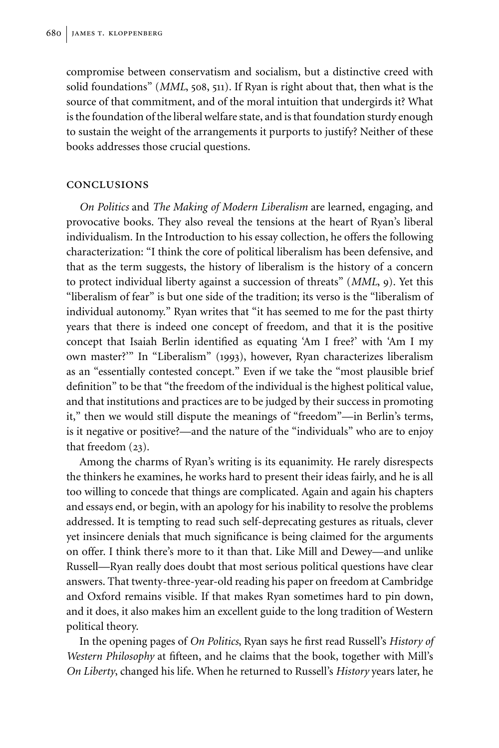compromise between conservatism and socialism, but a distinctive creed with solid foundations" (*MML*, 508, 511). If Ryan is right about that, then what is the source of that commitment, and of the moral intuition that undergirds it? What is the foundation of the liberal welfare state, and is that foundation sturdy enough to sustain the weight of the arrangements it purports to justify? Neither of these books addresses those crucial questions.

#### conclusions

*On Politics* and *The Making of Modern Liberalism* are learned, engaging, and provocative books. They also reveal the tensions at the heart of Ryan's liberal individualism. In the Introduction to his essay collection, he offers the following characterization: "I think the core of political liberalism has been defensive, and that as the term suggests, the history of liberalism is the history of a concern to protect individual liberty against a succession of threats" (*MML*, 9). Yet this "liberalism of fear" is but one side of the tradition; its verso is the "liberalism of individual autonomy." Ryan writes that "it has seemed to me for the past thirty years that there is indeed one concept of freedom, and that it is the positive concept that Isaiah Berlin identified as equating 'Am I free?' with 'Am I my own master?'" In "Liberalism" (1993), however, Ryan characterizes liberalism as an "essentially contested concept." Even if we take the "most plausible brief definition" to be that "the freedom of the individual is the highest political value, and that institutions and practices are to be judged by their success in promoting it," then we would still dispute the meanings of "freedom"—in Berlin's terms, is it negative or positive?—and the nature of the "individuals" who are to enjoy that freedom (23).

Among the charms of Ryan's writing is its equanimity. He rarely disrespects the thinkers he examines, he works hard to present their ideas fairly, and he is all too willing to concede that things are complicated. Again and again his chapters and essays end, or begin, with an apology for his inability to resolve the problems addressed. It is tempting to read such self-deprecating gestures as rituals, clever yet insincere denials that much significance is being claimed for the arguments on offer. I think there's more to it than that. Like Mill and Dewey—and unlike Russell—Ryan really does doubt that most serious political questions have clear answers. That twenty-three-year-old reading his paper on freedom at Cambridge and Oxford remains visible. If that makes Ryan sometimes hard to pin down, and it does, it also makes him an excellent guide to the long tradition of Western political theory.

In the opening pages of *On Politics*, Ryan says he first read Russell's *History of Western Philosophy* at fifteen, and he claims that the book, together with Mill's *On Liberty*, changed his life. When he returned to Russell's *History* years later, he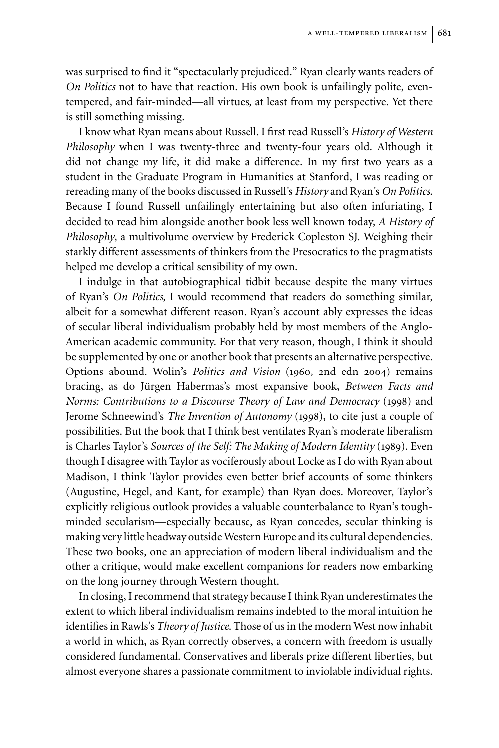was surprised to find it "spectacularly prejudiced." Ryan clearly wants readers of *On Politics* not to have that reaction. His own book is unfailingly polite, eventempered, and fair-minded—all virtues, at least from my perspective. Yet there is still something missing.

I know what Ryan means about Russell. I first read Russell's *History of Western Philosophy* when I was twenty-three and twenty-four years old. Although it did not change my life, it did make a difference. In my first two years as a student in the Graduate Program in Humanities at Stanford, I was reading or rereading many of the books discussed in Russell's *History* and Ryan's *On Politics*. Because I found Russell unfailingly entertaining but also often infuriating, I decided to read him alongside another book less well known today, *A History of Philosophy*, a multivolume overview by Frederick Copleston SJ. Weighing their starkly different assessments of thinkers from the Presocratics to the pragmatists helped me develop a critical sensibility of my own.

I indulge in that autobiographical tidbit because despite the many virtues of Ryan's *On Politics*, I would recommend that readers do something similar, albeit for a somewhat different reason. Ryan's account ably expresses the ideas of secular liberal individualism probably held by most members of the Anglo-American academic community. For that very reason, though, I think it should be supplemented by one or another book that presents an alternative perspective. Options abound. Wolin's *Politics and Vision* (1960, 2nd edn 2004) remains bracing, as do Jürgen Habermas's most expansive book, *Between Facts and Norms: Contributions to a Discourse Theory of Law and Democracy* (1998) and Jerome Schneewind's *The Invention of Autonomy* (1998), to cite just a couple of possibilities. But the book that I think best ventilates Ryan's moderate liberalism is Charles Taylor's *Sources of the Self: The Making of Modern Identity* (1989). Even though I disagree with Taylor as vociferously about Locke as I do with Ryan about Madison, I think Taylor provides even better brief accounts of some thinkers (Augustine, Hegel, and Kant, for example) than Ryan does. Moreover, Taylor's explicitly religious outlook provides a valuable counterbalance to Ryan's toughminded secularism—especially because, as Ryan concedes, secular thinking is making very little headway outside Western Europe and its cultural dependencies. These two books, one an appreciation of modern liberal individualism and the other a critique, would make excellent companions for readers now embarking on the long journey through Western thought.

In closing, I recommend that strategy because I think Ryan underestimates the extent to which liberal individualism remains indebted to the moral intuition he identifies in Rawls's *Theory of Justice*. Those of us in the modern West now inhabit a world in which, as Ryan correctly observes, a concern with freedom is usually considered fundamental. Conservatives and liberals prize different liberties, but almost everyone shares a passionate commitment to inviolable individual rights.